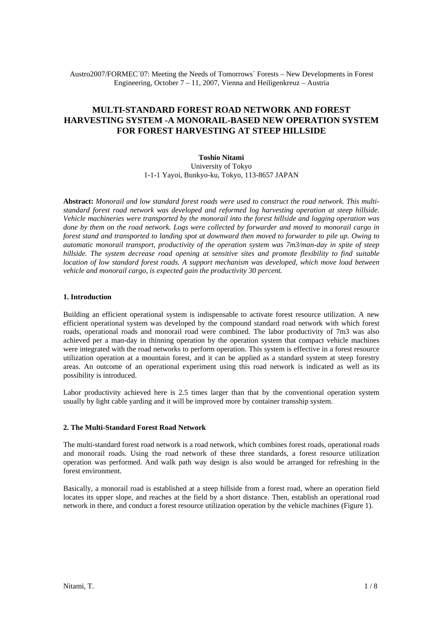Austro2007/FORMEC´07: Meeting the Needs of Tomorrows´ Forests – New Developments in Forest Engineering, October 7 – 11, 2007, Vienna and Heiligenkreuz – Austria

# **MULTI-STANDARD FOREST ROAD NETWORK AND FOREST HARVESTING SYSTEM -A MONORAIL-BASED NEW OPERATION SYSTEM FOR FOREST HARVESTING AT STEEP HILLSIDE**

# **Toshio Nitami**

University of Tokyo 1-1-1 Yayoi, Bunkyo-ku, Tokyo, 113-8657 JAPAN

**Abstract:** *Monorail and low standard forest roads were used to construct the road network. This multistandard forest road network was developed and reformed log harvesting operation at steep hillside. Vehicle machineries were transported by the monorail into the forest hillside and logging operation was done by them on the road network. Logs were collected by forwarder and moved to monorail cargo in forest stand and transported to landing spot at downward then moved to forwarder to pile up. Owing to automatic monorail transport, productivity of the operation system was 7m3/man-day in spite of steep hillside. The system decrease road opening at sensitive sites and promote flexibility to find suitable location of low standard forest roads. A support mechanism was developed, which move load between vehicle and monorail cargo, is expected gain the productivity 30 percent.*

#### **1. Introduction**

Building an efficient operational system is indispensable to activate forest resource utilization. A new efficient operational system was developed by the compound standard road network with which forest roads, operational roads and monorail road were combined. The labor productivity of 7m3 was also achieved per a man-day in thinning operation by the operation system that compact vehicle machines were integrated with the road networks to perform operation. This system is effective in a forest resource utilization operation at a mountain forest, and it can be applied as a standard system at steep forestry areas. An outcome of an operational experiment using this road network is indicated as well as its possibility is introduced.

Labor productivity achieved here is 2.5 times larger than that by the conventional operation system usually by light cable yarding and it will be improved more by container transship system.

#### **2. The Multi-Standard Forest Road Network**

The multi-standard forest road network is a road network, which combines forest roads, operational roads and monorail roads. Using the road network of these three standards, a forest resource utilization operation was performed. And walk path way design is also would be arranged for refreshing in the forest environment.

Basically, a monorail road is established at a steep hillside from a forest road, where an operation field locates its upper slope, and reaches at the field by a short distance. Then, establish an operational road network in there, and conduct a forest resource utilization operation by the vehicle machines (Figure 1).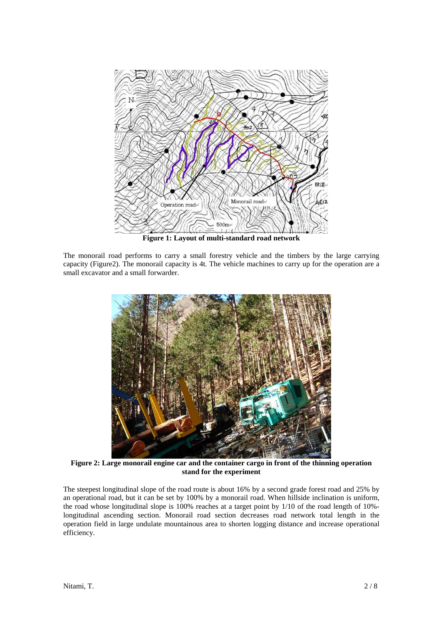

**Figure 1: Layout of multi-standard road network** 

The monorail road performs to carry a small forestry vehicle and the timbers by the large carrying capacity (Figure2). The monorail capacity is 4t. The vehicle machines to carry up for the operation are a small excavator and a small forwarder.



**Figure 2: Large monorail engine car and the container cargo in front of the thinning operation stand for the experiment** 

The steepest longitudinal slope of the road route is about 16% by a second grade forest road and 25% by an operational road, but it can be set by 100% by a monorail road. When hillside inclination is uniform, the road whose longitudinal slope is 100% reaches at a target point by 1/10 of the road length of 10% longitudinal ascending section. Monorail road section decreases road network total length in the operation field in large undulate mountainous area to shorten logging distance and increase operational efficiency.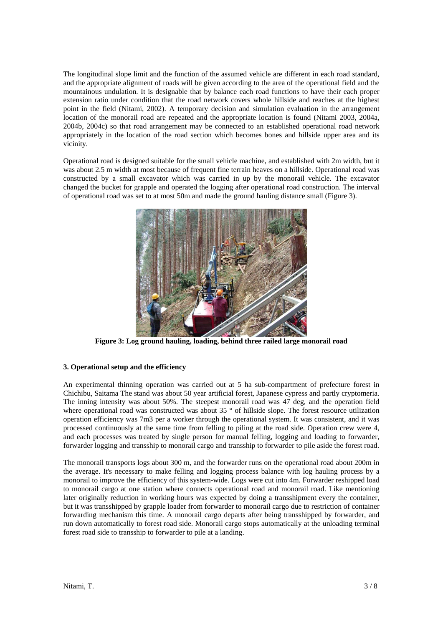The longitudinal slope limit and the function of the assumed vehicle are different in each road standard, and the appropriate alignment of roads will be given according to the area of the operational field and the mountainous undulation. It is designable that by balance each road functions to have their each proper extension ratio under condition that the road network covers whole hillside and reaches at the highest point in the field (Nitami, 2002). A temporary decision and simulation evaluation in the arrangement location of the monorail road are repeated and the appropriate location is found (Nitami 2003, 2004a, 2004b, 2004c) so that road arrangement may be connected to an established operational road network appropriately in the location of the road section which becomes bones and hillside upper area and its vicinity.

Operational road is designed suitable for the small vehicle machine, and established with 2m width, but it was about 2.5 m width at most because of frequent fine terrain heaves on a hillside. Operational road was constructed by a small excavator which was carried in up by the monorail vehicle. The excavator changed the bucket for grapple and operated the logging after operational road construction. The interval of operational road was set to at most 50m and made the ground hauling distance small (Figure 3).



**Figure 3: Log ground hauling, loading, behind three railed large monorail road** 

# **3. Operational setup and the efficiency**

An experimental thinning operation was carried out at 5 ha sub-compartment of prefecture forest in Chichibu, Saitama The stand was about 50 year artificial forest, Japanese cypress and partly cryptomeria. The inning intensity was about 50%. The steepest monorail road was 47 deg, and the operation field where operational road was constructed was about 35 ° of hillside slope. The forest resource utilization operation efficiency was 7m3 per a worker through the operational system. It was consistent, and it was processed continuously at the same time from felling to piling at the road side. Operation crew were 4, and each processes was treated by single person for manual felling, logging and loading to forwarder, forwarder logging and transship to monorail cargo and transship to forwarder to pile aside the forest road.

The monorail transports logs about 300 m, and the forwarder runs on the operational road about 200m in the average. It's necessary to make felling and logging process balance with log hauling process by a monorail to improve the efficiency of this system-wide. Logs were cut into 4m. Forwarder reshipped load to monorail cargo at one station where connects operational road and monorail road. Like mentioning later originally reduction in working hours was expected by doing a transshipment every the container, but it was transshipped by grapple loader from forwarder to monorail cargo due to restriction of container forwarding mechanism this time. A monorail cargo departs after being transshipped by forwarder, and run down automatically to forest road side. Monorail cargo stops automatically at the unloading terminal forest road side to transship to forwarder to pile at a landing.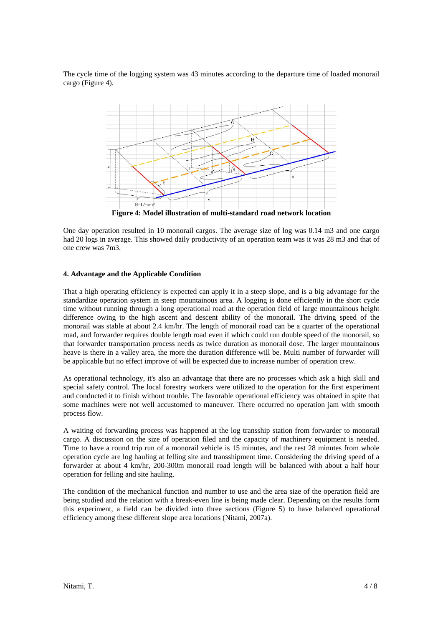The cycle time of the logging system was 43 minutes according to the departure time of loaded monorail cargo (Figure 4).



One day operation resulted in 10 monorail cargos. The average size of log was 0.14 m3 and one cargo had 20 logs in average. This showed daily productivity of an operation team was it was 28 m3 and that of one crew was 7m3.

#### **4. Advantage and the Applicable Condition**

That a high operating efficiency is expected can apply it in a steep slope, and is a big advantage for the standardize operation system in steep mountainous area. A logging is done efficiently in the short cycle time without running through a long operational road at the operation field of large mountainous height difference owing to the high ascent and descent ability of the monorail. The driving speed of the monorail was stable at about 2.4 km/hr. The length of monorail road can be a quarter of the operational road, and forwarder requires double length road even if which could run double speed of the monorail, so that forwarder transportation process needs as twice duration as monorail dose. The larger mountainous heave is there in a valley area, the more the duration difference will be. Multi number of forwarder will be applicable but no effect improve of will be expected due to increase number of operation crew.

As operational technology, it's also an advantage that there are no processes which ask a high skill and special safety control. The local forestry workers were utilized to the operation for the first experiment and conducted it to finish without trouble. The favorable operational efficiency was obtained in spite that some machines were not well accustomed to maneuver. There occurred no operation jam with smooth process flow.

A waiting of forwarding process was happened at the log transship station from forwarder to monorail cargo. A discussion on the size of operation filed and the capacity of machinery equipment is needed. Time to have a round trip run of a monorail vehicle is 15 minutes, and the rest 28 minutes from whole operation cycle are log hauling at felling site and transshipment time. Considering the driving speed of a forwarder at about 4 km/hr, 200-300m monorail road length will be balanced with about a half hour operation for felling and site hauling.

The condition of the mechanical function and number to use and the area size of the operation field are being studied and the relation with a break-even line is being made clear. Depending on the results form this experiment, a field can be divided into three sections (Figure 5) to have balanced operational efficiency among these different slope area locations (Nitami, 2007a).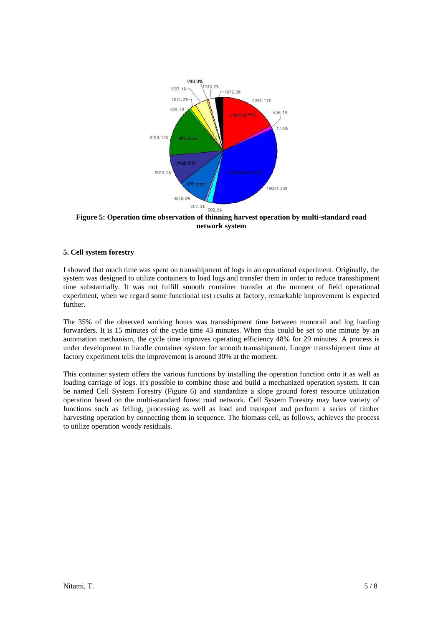

**Figure 5: Operation time observation of thinning harvest operation by multi-standard road network system**

# **5. Cell system forestry**

I showed that much time was spent on transshipment of logs in an operational experiment. Originally, the system was designed to utilize containers to load logs and transfer them in order to reduce transshipment time substantially. It was not fulfill smooth container transfer at the moment of field operational experiment, when we regard some functional test results at factory, remarkable improvement is expected further.

The 35% of the observed working hours was transshipment time between monorail and log hauling forwarders. It is 15 minutes of the cycle time 43 minutes. When this could be set to one minute by an automation mechanism, the cycle time improves operating efficiency 48% for 29 minutes. A process is under development to handle container system for smooth transshipment. Longer transshipment time at factory experiment tells the improvement is around 30% at the moment.

This container system offers the various functions by installing the operation function onto it as well as loading carriage of logs. It's possible to combine those and build a mechanized operation system. It can be named Cell System Forestry (Figure 6) and standardize a slope ground forest resource utilization operation based on the multi-standard forest road network. Cell System Forestry may have variety of functions such as felling, processing as well as load and transport and perform a series of timber harvesting operation by connecting them in sequence. The biomass cell, as follows, achieves the process to utilize operation woody residuals.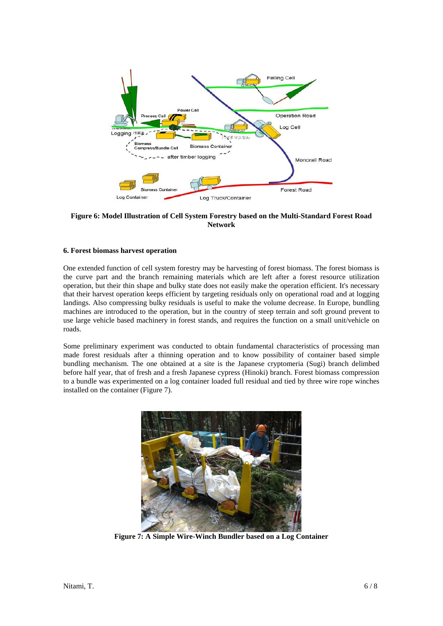

**Figure 6: Model Illustration of Cell System Forestry based on the Multi-Standard Forest Road Network** 

### **6. Forest biomass harvest operation**

One extended function of cell system forestry may be harvesting of forest biomass. The forest biomass is the curve part and the branch remaining materials which are left after a forest resource utilization operation, but their thin shape and bulky state does not easily make the operation efficient. It's necessary that their harvest operation keeps efficient by targeting residuals only on operational road and at logging landings. Also compressing bulky residuals is useful to make the volume decrease. In Europe, bundling machines are introduced to the operation, but in the country of steep terrain and soft ground prevent to use large vehicle based machinery in forest stands, and requires the function on a small unit/vehicle on roads.

Some preliminary experiment was conducted to obtain fundamental characteristics of processing man made forest residuals after a thinning operation and to know possibility of container based simple bundling mechanism. The one obtained at a site is the Japanese cryptomeria (Sugi) branch delimbed before half year, that of fresh and a fresh Japanese cypress (Hinoki) branch. Forest biomass compression to a bundle was experimented on a log container loaded full residual and tied by three wire rope winches installed on the container (Figure 7).



**Figure 7: A Simple Wire-Winch Bundler based on a Log Container**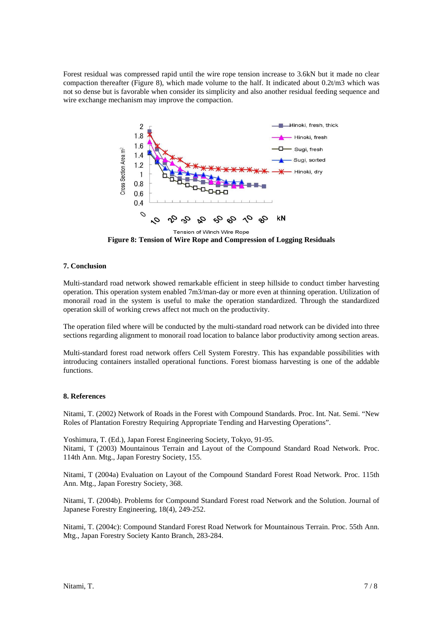Forest residual was compressed rapid until the wire rope tension increase to 3.6kN but it made no clear compaction thereafter (Figure 8), which made volume to the half. It indicated about 0.2t/m3 which was not so dense but is favorable when consider its simplicity and also another residual feeding sequence and wire exchange mechanism may improve the compaction.



**Figure 8: Tension of Wire Rope and Compression of Logging Residuals** 

# **7. Conclusion**

Multi-standard road network showed remarkable efficient in steep hillside to conduct timber harvesting operation. This operation system enabled 7m3/man-day or more even at thinning operation. Utilization of monorail road in the system is useful to make the operation standardized. Through the standardized operation skill of working crews affect not much on the productivity.

The operation filed where will be conducted by the multi-standard road network can be divided into three sections regarding alignment to monorail road location to balance labor productivity among section areas.

Multi-standard forest road network offers Cell System Forestry. This has expandable possibilities with introducing containers installed operational functions. Forest biomass harvesting is one of the addable functions.

# **8. References**

Nitami, T. (2002) Network of Roads in the Forest with Compound Standards. Proc. Int. Nat. Semi. "New Roles of Plantation Forestry Requiring Appropriate Tending and Harvesting Operations".

Yoshimura, T. (Ed.), Japan Forest Engineering Society, Tokyo, 91-95. Nitami, T (2003) Mountainous Terrain and Layout of the Compound Standard Road Network. Proc. 114th Ann. Mtg., Japan Forestry Society, 155.

Nitami, T (2004a) Evaluation on Layout of the Compound Standard Forest Road Network. Proc. 115th Ann. Mtg., Japan Forestry Society, 368.

Nitami, T. (2004b). Problems for Compound Standard Forest road Network and the Solution. Journal of Japanese Forestry Engineering, 18(4), 249-252.

Nitami, T. (2004c): Compound Standard Forest Road Network for Mountainous Terrain. Proc. 55th Ann. Mtg., Japan Forestry Society Kanto Branch, 283-284.